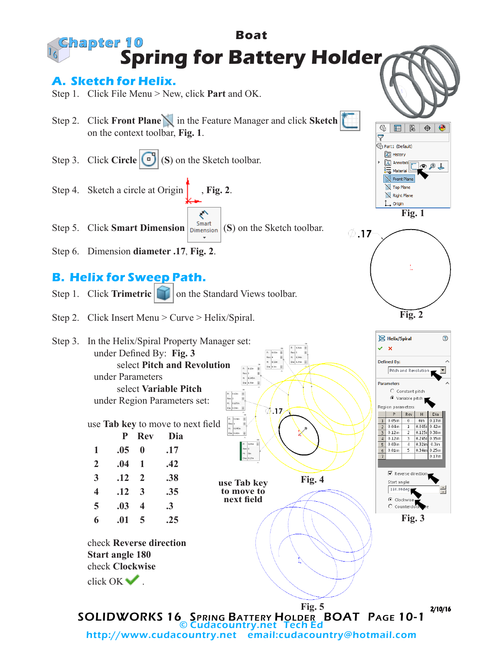**Boat Chapter 10 Spring for Battery Holder A. Sketch for Helix.** Step 1. Click File Menu > New, click **Part** and OK. Step 2. Click **Front Plane** in the Feature Manager and click **Sketch**   $@|$ ■ 【 】 on the context toolbar, **Fig. 1**.  $\overline{\nabla}$ Part1 (Default)

Step 3. Click **Circle** (**S**) (**S**) on the Sketch toolbar. Step 4. Sketch a circle at Origin **Fig. 2**.

Step 5. Click **Smart Dimension**  $\begin{bmatrix}$  Smart (S) on the Sketch toolbar.

Step 6. Dimension **diameter .17**, **Fig. 2**.

## **B. Helix for Sweep Path.**

- Step 1. Click **Trimetric on** the Standard Views toolbar.
- Step 2. Click Insert Menu > Curve > Helix/Spiral.



 $\oslash$ .17 **Fig. 2**



**Fig. 1**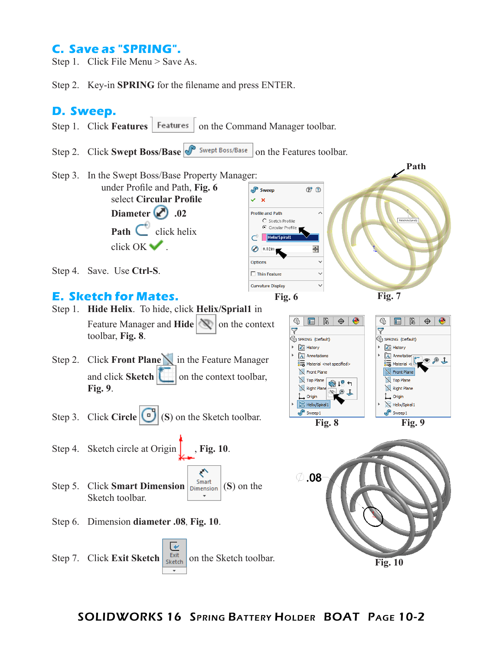## **C. Save as "SPRING".**

Step 1. Click File Menu > Save As.

Step 2. Key-in **SPRING** for the filename and press ENTER.

## **D. Sweep.**



Step 2. Click **Swept Boss/Base on the Features toolbar.**